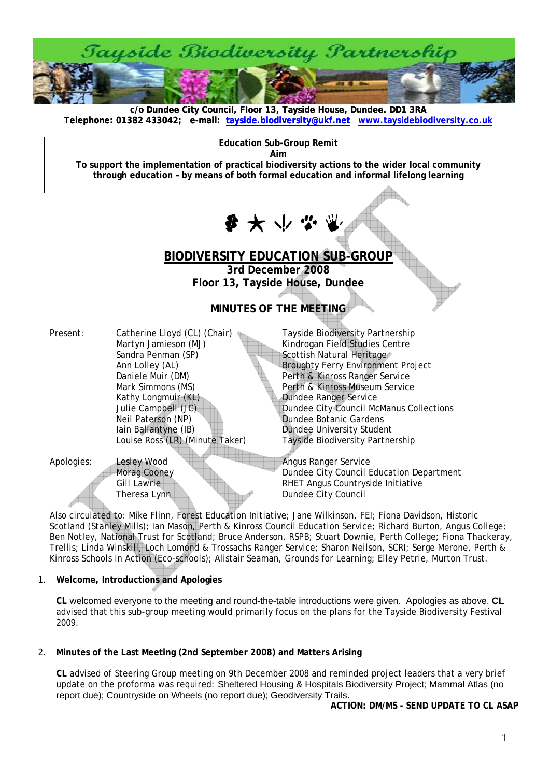

**c/o Dundee City Council, Floor 13, Tayside House, Dundee. DD1 3RA [Telephone: 01382 433042; e-mail: tayside.biodiversity@ukf.net](mailto:tayside.biodiversity@ukf.net) www.taysidebiodiversity.co.u[k](http://www.taysidebiodiversity.co.uk/)**

**Education Sub-Group Remit** 

**Aim**

**To support the implementation of practical biodiversity actions to the wider local community through education – by means of both formal education and informal lifelong learning** 

少大小

# **BIODIVERSITY EDUCATION SUB-GROUP**

**3rd December 2008 Floor 13, Tayside House, Dundee** 

# **MINUTES OF THE MEETING**

| Present: | Catherine Lloyd (CL) (Chair)    |  |
|----------|---------------------------------|--|
|          | Martyn Jamieson (MJ)            |  |
|          | Sandra Penman (SP)              |  |
|          | Ann Lolley (AL)                 |  |
|          | Daniele Muir (DM)               |  |
|          | Mark Simmons (MS)               |  |
|          | Kathy Longmuir (KL)             |  |
|          | Julie Campbell (JC)             |  |
|          | Neil Paterson (NP)              |  |
|          | lain Ballantyne (IB)            |  |
|          | Louise Ross (LR) (Minute Taker) |  |
|          |                                 |  |

Tayside Biodiversity Partnership Kindrogan Field Studies Centre Scottish Natural Heritage Broughty Ferry Environment Project Perth & Kinross Ranger Service Perth & Kinross Museum Service Dundee Ranger Service Dundee City Council McManus Collections Dundee Botanic Gardens **Dundee University Student** Tayside Biodiversity Partnership

Apologies: Lesley Wood Angus Ranger Service

Morag Cooney Dundee City Council Education Department Gill Lawrie **RHET Angus Countryside Initiative** Theresa Lynn Dundee City Council

Also circulated to: Mike Flinn, Forest Education Initiative; Jane Wilkinson, FEI; Fiona Davidson, Historic Scotland (Stanley Mills); Ian Mason, Perth & Kinross Council Education Service; Richard Burton, Angus College; Ben Notley, National Trust for Scotland; Bruce Anderson, RSPB; Stuart Downie, Perth College; Fiona Thackeray, Trellis; Linda Winskill, Loch Lomond & Trossachs Ranger Service; Sharon Neilson, SCRI; Serge Merone, Perth & Kinross Schools in Action (Eco-schools); Alistair Seaman, Grounds for Learning; Elley Petrie, Murton Trust.

1. **Welcome, Introductions and Apologies** 

**CL** welcomed everyone to the meeting and round-the-table introductions were given. Apologies as above. **CL** advised that this sub-group meeting would primarily focus on the plans for the Tayside Biodiversity Festival 2009.

2. **Minutes of the Last Meeting (2nd September 2008) and Matters Arising** 

**CL** advised of Steering Group meeting on 9th December 2008 and reminded project leaders that a very brief update on the proforma was required: Sheltered Housing & Hospitals Biodiversity Project; Mammal Atlas (no report due); Countryside on Wheels (no report due); Geodiversity Trails.

**ACTION: DM/MS - SEND UPDATE TO CL ASAP**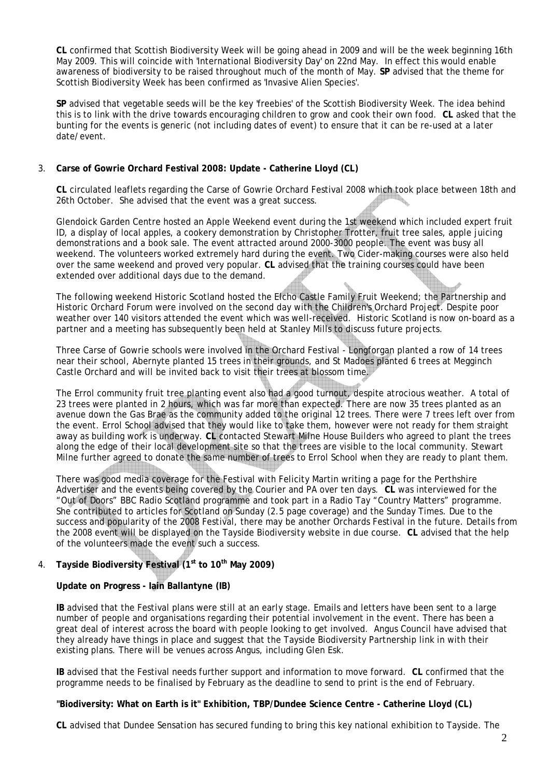**CL** confirmed that Scottish Biodiversity Week will be going ahead in 2009 and will be the week beginning 16th May 2009. This will coincide with 'International Biodiversity Day' on 22nd May. In effect this would enable awareness of biodiversity to be raised throughout much of the month of May. **SP** advised that the theme for Scottish Biodiversity Week has been confirmed as 'Invasive Alien Species'.

**SP** advised that vegetable seeds will be the key 'freebies' of the Scottish Biodiversity Week. The idea behind this is to link with the drive towards encouraging children to grow and cook their own food. **CL** asked that the bunting for the events is generic (not including dates of event) to ensure that it can be re-used at a later date/event.

### 3. **Carse of Gowrie Orchard Festival 2008: Update - Catherine Lloyd (CL)**

**CL** circulated leaflets regarding the Carse of Gowrie Orchard Festival 2008 which took place between 18th and 26th October. She advised that the event was a great success.

Glendoick Garden Centre hosted an Apple Weekend event during the 1st weekend which included expert fruit ID, a display of local apples, a cookery demonstration by Christopher Trotter, fruit tree sales, apple juicing demonstrations and a book sale. The event attracted around 2000-3000 people. The event was busy all weekend. The volunteers worked extremely hard during the event. Two Cider-making courses were also held over the same weekend and proved very popular. **CL** advised that the training courses could have been extended over additional days due to the demand.

The following weekend Historic Scotland hosted the Elcho Castle Family Fruit Weekend; the Partnership and Historic Orchard Forum were involved on the second day with the Children's Orchard Project. Despite poor weather over 140 visitors attended the event which was well-received. Historic Scotland is now on-board as a partner and a meeting has subsequently been held at Stanley Mills to discuss future projects.

Three Carse of Gowrie schools were involved in the Orchard Festival - Longforgan planted a row of 14 trees near their school, Abernyte planted 15 trees in their grounds, and St Madoes planted 6 trees at Megginch Castle Orchard and will be invited back to visit their trees at blossom time.

The Errol community fruit tree planting event also had a good turnout, despite atrocious weather. A total of 23 trees were planted in 2 hours, which was far more than expected. There are now 35 trees planted as an avenue down the Gas Brae as the community added to the original 12 trees. There were 7 trees left over from the event. Errol School advised that they would like to take them, however were not ready for them straight away as building work is underway. **CL** contacted Stewart Milne House Builders who agreed to plant the trees along the edge of their local development site so that the trees are visible to the local community. Stewart Milne further agreed to donate the same number of trees to Errol School when they are ready to plant them.

There was good media coverage for the Festival with Felicity Martin writing a page for the Perthshire Advertiser and the events being covered by the Courier and PA over ten days. **CL** was interviewed for the "Out of Doors" BBC Radio Scotland programme and took part in a Radio Tay "Country Matters" programme. She contributed to articles for Scotland on Sunday (2.5 page coverage) and the Sunday Times. Due to the success and popularity of the 2008 Festival, there may be another Orchards Festival in the future. Details from the 2008 event will be displayed on the Tayside Biodiversity website in due course. **CL** advised that the help of the volunteers made the event such a success.

## 4. **Tayside Biodiversity Festival (1st to 10th May 2009)**

### **Update on Progress - Iain Ballantyne (IB)**

**IB** advised that the Festival plans were still at an early stage. Emails and letters have been sent to a large number of people and organisations regarding their potential involvement in the event. There has been a great deal of interest across the board with people looking to get involved. Angus Council have advised that they already have things in place and suggest that the Tayside Biodiversity Partnership link in with their existing plans. There will be venues across Angus, including Glen Esk.

**IB** advised that the Festival needs further support and information to move forward. **CL** confirmed that the programme needs to be finalised by February as the deadline to send to print is the end of February.

### **"Biodiversity: What on Earth is it" Exhibition, TBP/Dundee Science Centre - Catherine Lloyd (CL)**

**CL** advised that Dundee Sensation has secured funding to bring this key national exhibition to Tayside. The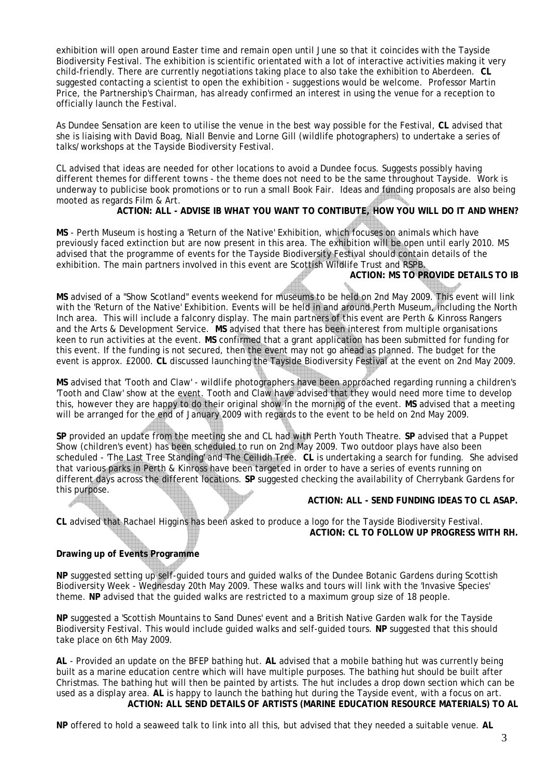exhibition will open around Easter time and remain open until June so that it coincides with the Tayside Biodiversity Festival. The exhibition is scientific orientated with a lot of interactive activities making it very child-friendly. There are currently negotiations taking place to also take the exhibition to Aberdeen. **CL** suggested contacting a scientist to open the exhibition - suggestions would be welcome. Professor Martin Price, the Partnership's Chairman, has already confirmed an interest in using the venue for a reception to officially launch the Festival.

As Dundee Sensation are keen to utilise the venue in the best way possible for the Festival, **CL** advised that she is liaising with David Boag, Niall Benvie and Lorne Gill (wildlife photographers) to undertake a series of talks/workshops at the Tayside Biodiversity Festival.

CL advised that ideas are needed for other locations to avoid a Dundee focus. Suggests possibly having different themes for different towns - the theme does not need to be the same throughout Tayside. Work is underway to publicise book promotions or to run a small Book Fair. Ideas and funding proposals are also being mooted as regards Film & Art.

### **ACTION: ALL - ADVISE IB WHAT YOU WANT TO CONTIBUTE, HOW YOU WILL DO IT AND WHEN?**

**MS** - Perth Museum is hosting a 'Return of the Native' Exhibition, which focuses on animals which have previously faced extinction but are now present in this area. The exhibition will be open until early 2010. MS advised that the programme of events for the Tayside Biodiversity Festival should contain details of the exhibition. The main partners involved in this event are Scottish Wildlife Trust and RSPB.

### **ACTION: MS TO PROVIDE DETAILS TO IB**

**MS** advised of a "Show Scotland" events weekend for museums to be held on 2nd May 2009. This event will link with the 'Return of the Native' Exhibition. Events will be held in and around Perth Museum, including the North Inch area. This will include a falconry display. The main partners of this event are Perth & Kinross Rangers and the Arts & Development Service. **MS** advised that there has been interest from multiple organisations keen to run activities at the event. **MS** confirmed that a grant application has been submitted for funding for this event. If the funding is not secured, then the event may not go ahead as planned. The budget for the event is approx. £2000. **CL** discussed launching the Tayside Biodiversity Festival at the event on 2nd May 2009.

**MS** advised that 'Tooth and Claw' - wildlife photographers have been approached regarding running a children's 'Tooth and Claw' show at the event. Tooth and Claw have advised that they would need more time to develop this, however they are happy to do their original show in the morning of the event. **MS** advised that a meeting will be arranged for the end of January 2009 with regards to the event to be held on 2nd May 2009.

**SP** provided an update from the meeting she and CL had with Perth Youth Theatre. **SP** advised that a Puppet Show (children's event) has been scheduled to run on 2nd May 2009. Two outdoor plays have also been scheduled - 'The Last Tree Standing' and The Ceilidh Tree. **CL** is undertaking a search for funding. She advised that various parks in Perth & Kinross have been targeted in order to have a series of events running on different days across the different locations. **SP** suggested checking the availability of Cherrybank Gardens for this purpose.

### **ACTION: ALL - SEND FUNDING IDEAS TO CL ASAP.**

**CL** advised that Rachael Higgins has been asked to produce a logo for the Tayside Biodiversity Festival. **ACTION: CL TO FOLLOW UP PROGRESS WITH RH.** 

### **Drawing up of Events Programme**

**NP** suggested setting up self-guided tours and guided walks of the Dundee Botanic Gardens during Scottish Biodiversity Week - Wednesday 20th May 2009. These walks and tours will link with the 'Invasive Species' theme. **NP** advised that the guided walks are restricted to a maximum group size of 18 people.

**NP** suggested a 'Scottish Mountains to Sand Dunes' event and a British Native Garden walk for the Tayside Biodiversity Festival. This would include guided walks and self-guided tours. **NP** suggested that this should take place on 6th May 2009.

**AL** - Provided an update on the BFEP bathing hut. **AL** advised that a mobile bathing hut was currently being built as a marine education centre which will have multiple purposes. The bathing hut should be built after Christmas. The bathing hut will then be painted by artists. The hut includes a drop down section which can be used as a display area. **AL** is happy to launch the bathing hut during the Tayside event, with a focus on art. **ACTION: ALL SEND DETAILS OF ARTISTS (MARINE EDUCATION RESOURCE MATERIALS) TO AL** 

**NP** offered to hold a seaweed talk to link into all this, but advised that they needed a suitable venue. **AL**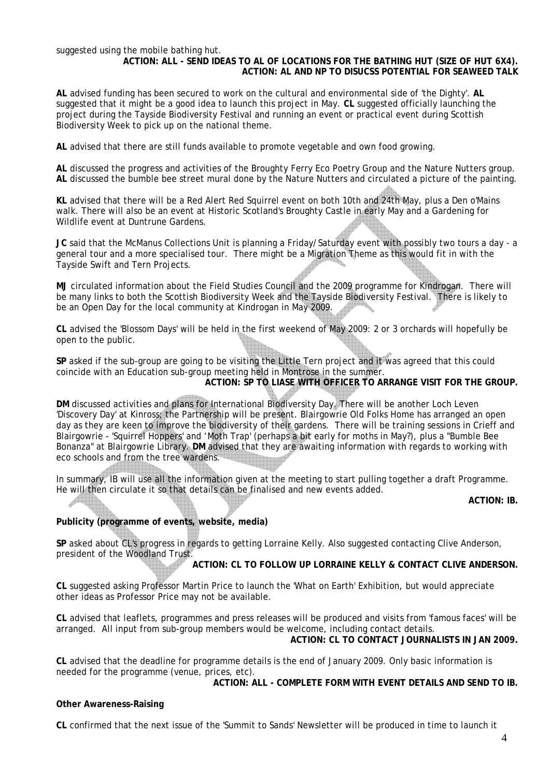#### suggested using the mobile bathing hut.

### **ACTION: ALL - SEND IDEAS TO AL OF LOCATIONS FOR THE BATHING HUT (SIZE OF HUT 6X4). ACTION: AL AND NP TO DISUCSS POTENTIAL FOR SEAWEED TALK**

**AL** advised funding has been secured to work on the cultural and environmental side of 'the Dighty'. **AL** suggested that it might be a good idea to launch this project in May. **CL** suggested officially launching the project during the Tayside Biodiversity Festival and running an event or practical event during Scottish Biodiversity Week to pick up on the national theme.

**AL** advised that there are still funds available to promote vegetable and own food growing.

**AL** discussed the progress and activities of the Broughty Ferry Eco Poetry Group and the Nature Nutters group. **AL** discussed the bumble bee street mural done by the Nature Nutters and circulated a picture of the painting.

**KL** advised that there will be a Red Alert Red Squirrel event on both 10th and 24th May, plus a Den o'Mains walk. There will also be an event at Historic Scotland's Broughty Castle in early May and a Gardening for Wildlife event at Duntrune Gardens.

**JC** said that the McManus Collections Unit is planning a Friday/Saturday event with possibly two tours a day - a general tour and a more specialised tour. There might be a Migration Theme as this would fit in with the Tayside Swift and Tern Projects.

**MJ** circulated information about the Field Studies Council and the 2009 programme for Kindrogan. There will be many links to both the Scottish Biodiversity Week and the Tayside Biodiversity Festival. There is likely to be an Open Day for the local community at Kindrogan in May 2009.

**CL** advised the 'Blossom Days' will be held in the first weekend of May 2009: 2 or 3 orchards will hopefully be open to the public.

**SP** asked if the sub-group are going to be visiting the Little Tern project and it was agreed that this could coincide with an Education sub-group meeting held in Montrose in the summer. **ACTION: SP TO LIASE WITH OFFICER TO ARRANGE VISIT FOR THE GROUP.** 

**DM** discussed activities and plans for International Biodiversity Day. There will be another Loch Leven 'Discovery Day' at Kinross; the Partnership will be present. Blairgowrie Old Folks Home has arranged an open day as they are keen to improve the biodiversity of their gardens. There will be training sessions in Crieff and Blairgowrie - 'Squirrel Hoppers' and 'Moth Trap' (perhaps a bit early for moths in May?), plus a "Bumble Bee Bonanza" at Blairgowrie Library. **DM** advised that they are awaiting information with regards to working with eco schools and from the tree wardens.

In summary, IB will use all the information given at the meeting to start pulling together a draft Programme. He will then circulate it so that details can be finalised and new events added.

**ACTION: IB.** 

### **Publicity (programme of events, website, media)**

**SP** asked about CL's progress in regards to getting Lorraine Kelly. Also suggested contacting Clive Anderson, president of the Woodland Trust.

**ACTION: CL TO FOLLOW UP LORRAINE KELLY & CONTACT CLIVE ANDERSON.** 

**CL** suggested asking Professor Martin Price to launch the 'What on Earth' Exhibition, but would appreciate other ideas as Professor Price may not be available.

**CL** advised that leaflets, programmes and press releases will be produced and visits from 'famous faces' will be arranged. All input from sub-group members would be welcome, including contact details. **ACTION: CL TO CONTACT JOURNALISTS IN JAN 2009.** 

**CL** advised that the deadline for programme details is the end of January 2009. Only basic information is needed for the programme (venue, prices, etc).

**ACTION: ALL - COMPLETE FORM WITH EVENT DETAILS AND SEND TO IB.** 

### **Other Awareness-Raising**

**CL** confirmed that the next issue of the 'Summit to Sands' Newsletter will be produced in time to launch it